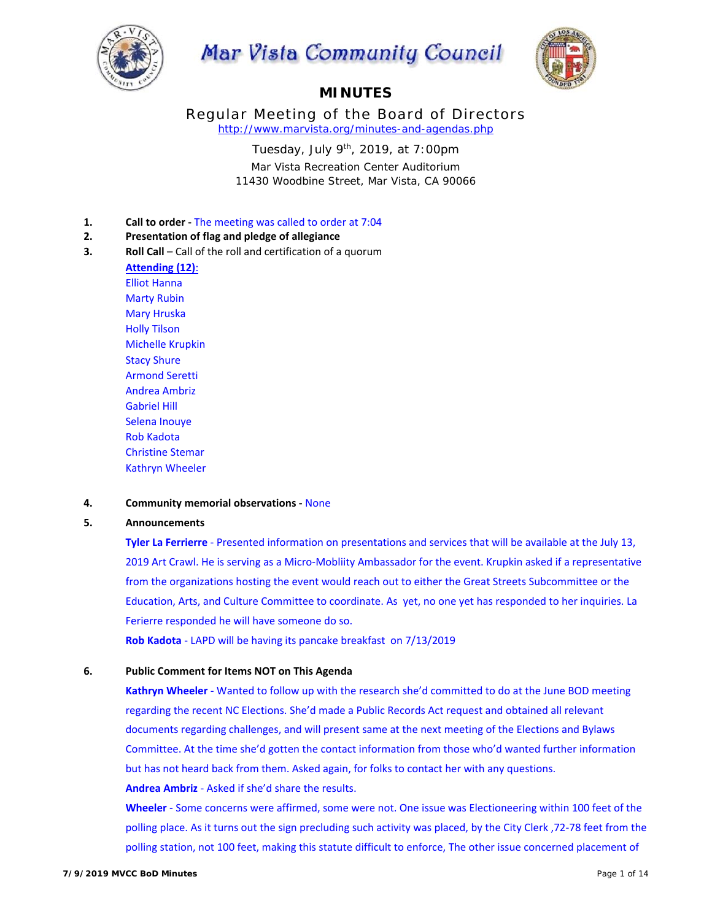

# **Mar Vista Community Council**



# **MINUTES**

Regular Meeting of the Board of Directors *http://www.marvista.org/minutes-and-agendas.php* 

Tuesday, July  $9<sup>th</sup>$ , 2019, at 7:00pm

Mar Vista Recreation Center Auditorium 11430 Woodbine Street, Mar Vista, CA 90066

- **1. Call to order The meeting was called to order at 7:04**
- **2. Presentation of flag and pledge of allegiance**
- **3. Roll Call** Call of the roll and certification of a quorum

**Attending (12)**: Elliot Hanna Marty Rubin Mary Hruska Holly Tilson Michelle Krupkin Stacy Shure Armond Seretti Andrea Ambriz Gabriel Hill Selena Inouye Rob Kadota Christine Stemar Kathryn Wheeler

# **4. Community memorial observations ‐** None

# **5. Announcements**

**Tyler La Ferrierre** ‐ Presented information on presentations and services that will be available at the July 13, 2019 Art Crawl. He is serving as a Micro‐Mobliity Ambassador for the event. Krupkin asked if a representative from the organizations hosting the event would reach out to either the Great Streets Subcommittee or the Education, Arts, and Culture Committee to coordinate. As yet, no one yet has responded to her inquiries. La Ferierre responded he will have someone do so.

**Rob Kadota** ‐ LAPD will be having its pancake breakfast on 7/13/2019

# **6. Public Comment for Items NOT on This Agenda**

Kathryn Wheeler - Wanted to follow up with the research she'd committed to do at the June BOD meeting regarding the recent NC Elections. She'd made a Public Records Act request and obtained all relevant documents regarding challenges, and will present same at the next meeting of the Elections and Bylaws Committee. At the time she'd gotten the contact information from those who'd wanted further information but has not heard back from them. Asked again, for folks to contact her with any questions.

# **Andrea Ambriz** ‐ Asked if she'd share the results.

**Wheeler** ‐ Some concerns were affirmed, some were not. One issue was Electioneering within 100 feet of the polling place. As it turns out the sign precluding such activity was placed, by the City Clerk ,72‐78 feet from the polling station, not 100 feet, making this statute difficult to enforce, The other issue concerned placement of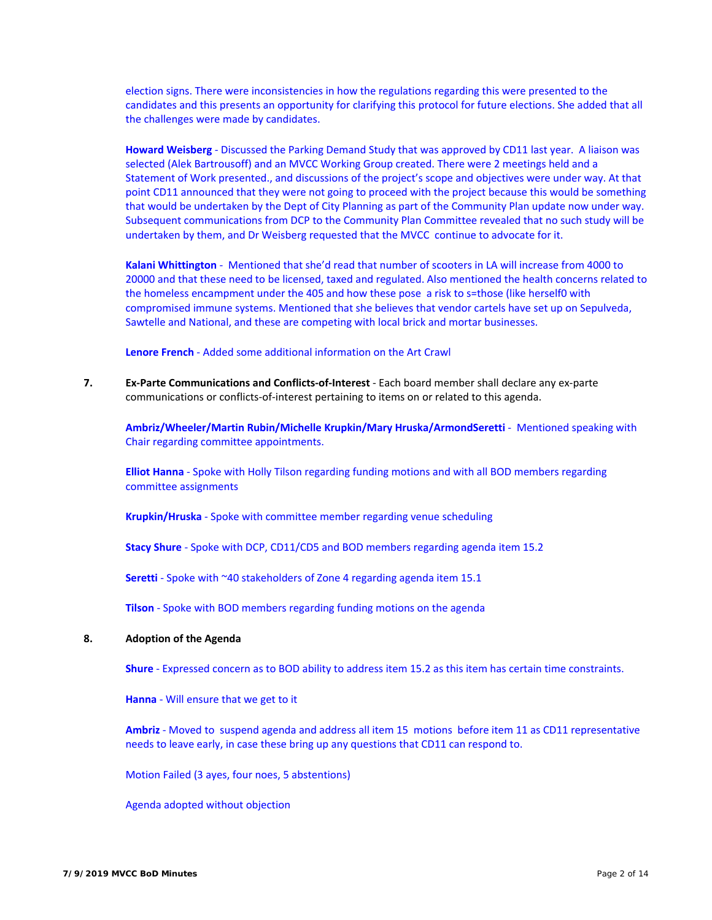election signs. There were inconsistencies in how the regulations regarding this were presented to the candidates and this presents an opportunity for clarifying this protocol for future elections. She added that all the challenges were made by candidates.

**Howard Weisberg** ‐ Discussed the Parking Demand Study that was approved by CD11 last year. A liaison was selected (Alek Bartrousoff) and an MVCC Working Group created. There were 2 meetings held and a Statement of Work presented., and discussions of the project's scope and objectives were under way. At that point CD11 announced that they were not going to proceed with the project because this would be something that would be undertaken by the Dept of City Planning as part of the Community Plan update now under way. Subsequent communications from DCP to the Community Plan Committee revealed that no such study will be undertaken by them, and Dr Weisberg requested that the MVCC continue to advocate for it.

**Kalani Whittington** ‐ Mentioned that she'd read that number of scooters in LA will increase from 4000 to 20000 and that these need to be licensed, taxed and regulated. Also mentioned the health concerns related to the homeless encampment under the 405 and how these pose a risk to s=those (like herself0 with compromised immune systems. Mentioned that she believes that vendor cartels have set up on Sepulveda, Sawtelle and National, and these are competing with local brick and mortar businesses.

**Lenore French** ‐ Added some additional information on the Art Crawl

**7. Ex‐Parte Communications and Conflicts‐of‐Interest** ‐ Each board member shall declare any ex‐parte communications or conflicts‐of‐interest pertaining to items on or related to this agenda.

**Ambriz/Wheeler/Martin Rubin/Michelle Krupkin/Mary Hruska/ArmondSeretti** ‐ Mentioned speaking with Chair regarding committee appointments.

**Elliot Hanna** ‐ Spoke with Holly Tilson regarding funding motions and with all BOD members regarding committee assignments

**Krupkin/Hruska** ‐ Spoke with committee member regarding venue scheduling

**Stacy Shure** ‐ Spoke with DCP, CD11/CD5 and BOD members regarding agenda item 15.2

**Seretti** - Spoke with ~40 stakeholders of Zone 4 regarding agenda item 15.1

**Tilson** ‐ Spoke with BOD members regarding funding motions on the agenda

# **8. Adoption of the Agenda**

**Shure** ‐ Expressed concern as to BOD ability to address item 15.2 as this item has certain time constraints.

**Hanna** ‐ Will ensure that we get to it

**Ambriz** ‐ Moved to suspend agenda and address all item 15 motions before item 11 as CD11 representative needs to leave early, in case these bring up any questions that CD11 can respond to.

Motion Failed (3 ayes, four noes, 5 abstentions)

Agenda adopted without objection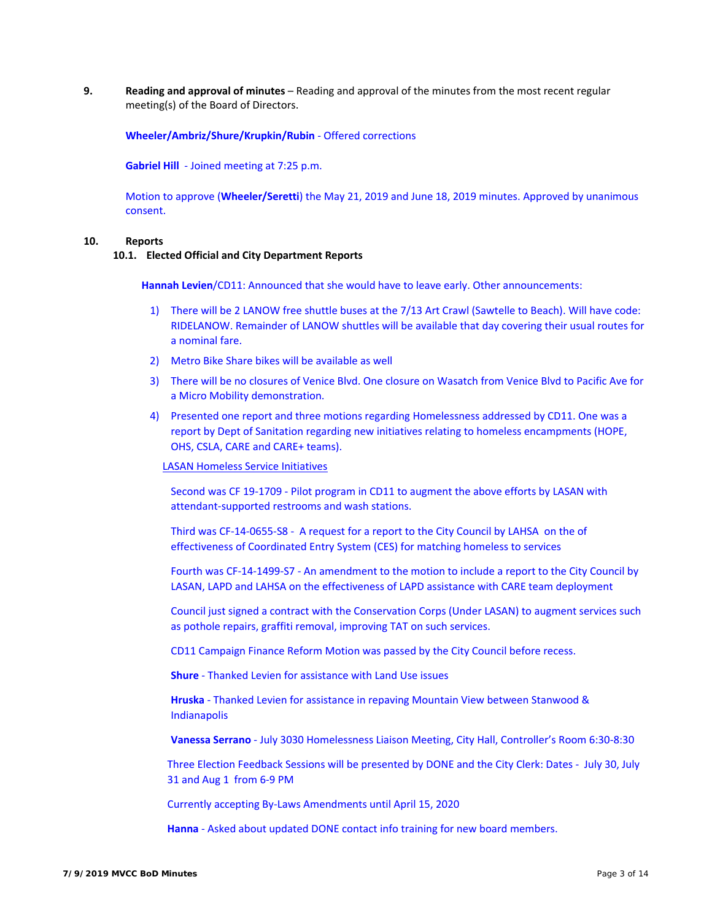**9. Reading and approval of minutes** – Reading and approval of the minutes from the most recent regular meeting(s) of the Board of Directors.

**Wheeler/Ambriz/Shure/Krupkin/Rubin** ‐ Offered corrections

**Gabriel Hill** ‐ Joined meeting at 7:25 p.m.

Motion to approve (**Wheeler/Seretti**) the May 21, 2019 and June 18, 2019 minutes. Approved by unanimous consent.

#### **10. Reports**

#### **10.1. Elected Official and City Department Reports**

**Hannah Levien**/CD11: Announced that she would have to leave early. Other announcements:

- 1) There will be 2 LANOW free shuttle buses at the 7/13 Art Crawl (Sawtelle to Beach). Will have code: RIDELANOW. Remainder of LANOW shuttles will be available that day covering their usual routes for a nominal fare.
- 2) Metro Bike Share bikes will be available as well
- 3) There will be no closures of Venice Blvd. One closure on Wasatch from Venice Blvd to Pacific Ave for a Micro Mobility demonstration.
- 4) Presented one report and three motions regarding Homelessness addressed by CD11. One was a report by Dept of Sanitation regarding new initiatives relating to homeless encampments (HOPE, OHS, CSLA, CARE and CARE+ teams).

# LASAN Homeless Service Initiatives

Second was CF 19-1709 - Pilot program in CD11 to augment the above efforts by LASAN with attendant‐supported restrooms and wash stations.

Third was CF‐14‐0655‐S8 ‐ A request for a report to the City Council by LAHSA on the of effectiveness of Coordinated Entry System (CES) for matching homeless to services

Fourth was CF‐14‐1499‐S7 ‐ An amendment to the motion to include a report to the City Council by LASAN, LAPD and LAHSA on the effectiveness of LAPD assistance with CARE team deployment

Council just signed a contract with the Conservation Corps (Under LASAN) to augment services such as pothole repairs, graffiti removal, improving TAT on such services.

CD11 Campaign Finance Reform Motion was passed by the City Council before recess.

**Shure** ‐ Thanked Levien for assistance with Land Use issues

**Hruska** ‐ Thanked Levien for assistance in repaving Mountain View between Stanwood & Indianapolis

**Vanessa Serrano** ‐ July 3030 Homelessness Liaison Meeting, City Hall, Controller's Room 6:30‐8:30

Three Election Feedback Sessions will be presented by DONE and the City Clerk: Dates ‐ July 30, July 31 and Aug 1 from 6‐9 PM

Currently accepting By‐Laws Amendments until April 15, 2020

Hanna - Asked about updated DONE contact info training for new board members.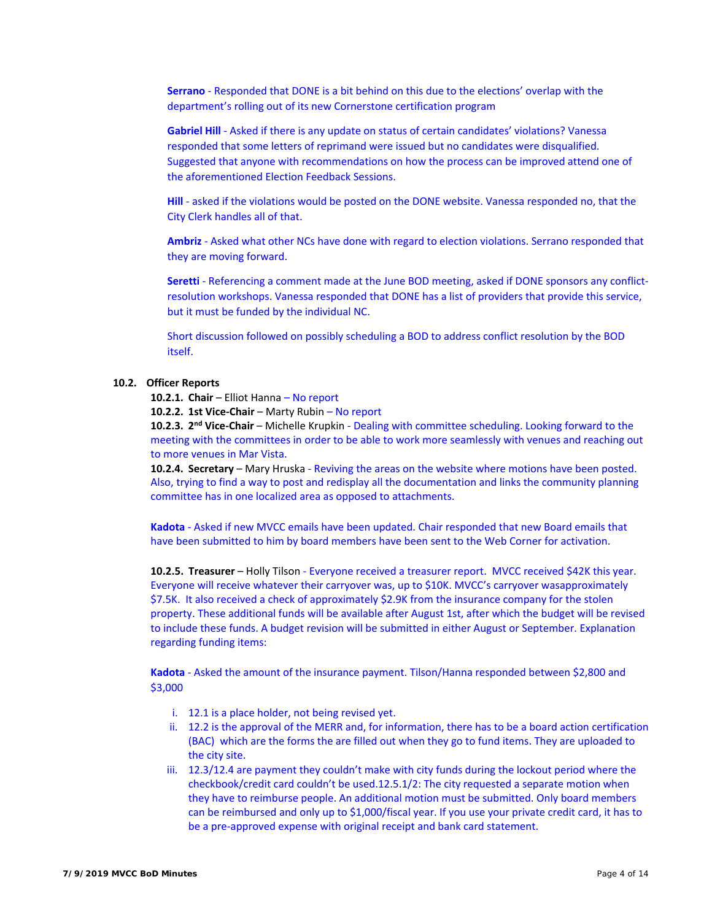**Serrano** ‐ Responded that DONE is a bit behind on this due to the elections' overlap with the department's rolling out of its new Cornerstone certification program

**Gabriel Hill** ‐ Asked if there is any update on status of certain candidates' violations? Vanessa responded that some letters of reprimand were issued but no candidates were disqualified. Suggested that anyone with recommendations on how the process can be improved attend one of the aforementioned Election Feedback Sessions.

**Hill** - asked if the violations would be posted on the DONE website. Vanessa responded no, that the City Clerk handles all of that.

**Ambriz** ‐ Asked what other NCs have done with regard to election violations. Serrano responded that they are moving forward.

**Seretti** - Referencing a comment made at the June BOD meeting, asked if DONE sponsors any conflictresolution workshops. Vanessa responded that DONE has a list of providers that provide this service, but it must be funded by the individual NC.

Short discussion followed on possibly scheduling a BOD to address conflict resolution by the BOD itself.

# **10.2. Officer Reports**

**10.2.1. Chair** – Elliot Hanna – No report

**10.2.2. 1st Vice‐Chair** – Marty Rubin – No report

**10.2.3. 2 nd Vice‐Chair** – Michelle Krupkin ‐ Dealing with committee scheduling. Looking forward to the meeting with the committees in order to be able to work more seamlessly with venues and reaching out to more venues in Mar Vista.

**10.2.4. Secretary** – Mary Hruska ‐ Reviving the areas on the website where motions have been posted. Also, trying to find a way to post and redisplay all the documentation and links the community planning committee has in one localized area as opposed to attachments.

**Kadota** ‐ Asked if new MVCC emails have been updated. Chair responded that new Board emails that have been submitted to him by board members have been sent to the Web Corner for activation.

**10.2.5. Treasurer** – Holly Tilson ‐ Everyone received a treasurer report. MVCC received \$42K this year. Everyone will receive whatever their carryover was, up to \$10K. MVCC's carryover wasapproximately \$7.5K. It also received a check of approximately \$2.9K from the insurance company for the stolen property. These additional funds will be available after August 1st, after which the budget will be revised to include these funds. A budget revision will be submitted in either August or September. Explanation regarding funding items:

**Kadota** ‐ Asked the amount of the insurance payment. Tilson/Hanna responded between \$2,800 and \$3,000

- i. 12.1 is a place holder, not being revised yet.
- ii. 12.2 is the approval of the MERR and, for information, there has to be a board action certification (BAC) which are the forms the are filled out when they go to fund items. They are uploaded to the city site.
- iii. 12.3/12.4 are payment they couldn't make with city funds during the lockout period where the checkbook/credit card couldn't be used.12.5.1/2: The city requested a separate motion when they have to reimburse people. An additional motion must be submitted. Only board members can be reimbursed and only up to \$1,000/fiscal year. If you use your private credit card, it has to be a pre‐approved expense with original receipt and bank card statement.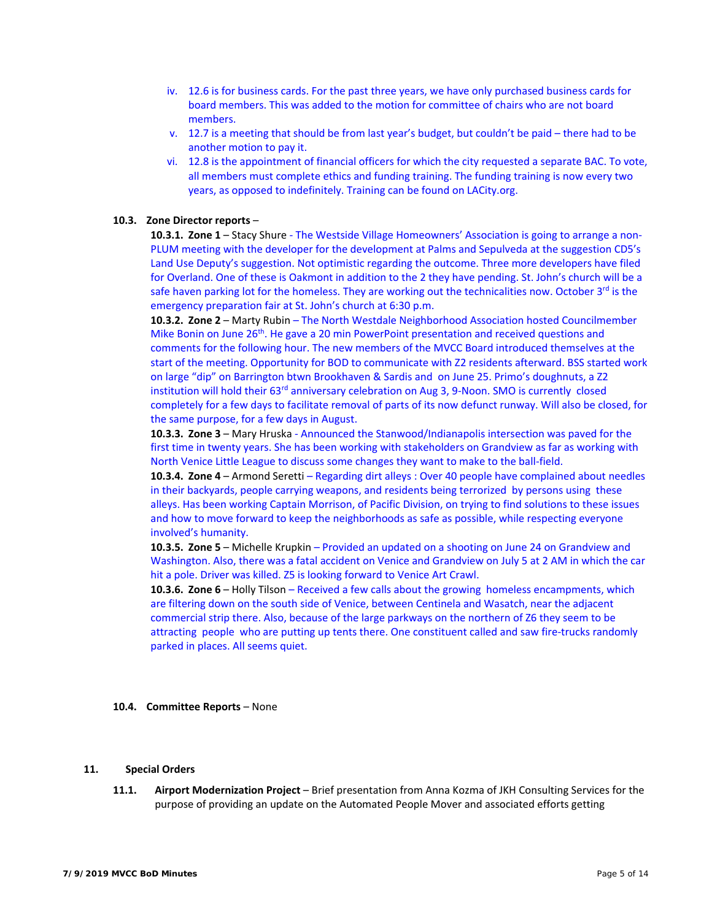- iv. 12.6 is for business cards. For the past three years, we have only purchased business cards for board members. This was added to the motion for committee of chairs who are not board members.
- v. 12.7 is a meeting that should be from last year's budget, but couldn't be paid there had to be another motion to pay it.
- vi. 12.8 is the appointment of financial officers for which the city requested a separate BAC. To vote, all members must complete ethics and funding training. The funding training is now every two years, as opposed to indefinitely. Training can be found on LACity.org.

#### **10.3. Zone Director reports** –

10.3.1. Zone 1 – Stacy Shure - The Westside Village Homeowners' Association is going to arrange a non-PLUM meeting with the developer for the development at Palms and Sepulveda at the suggestion CD5's Land Use Deputy's suggestion. Not optimistic regarding the outcome. Three more developers have filed for Overland. One of these is Oakmont in addition to the 2 they have pending. St. John's church will be a safe haven parking lot for the homeless. They are working out the technicalities now. October  $3^{rd}$  is the emergency preparation fair at St. John's church at 6:30 p.m.

**10.3.2. Zone 2** – Marty Rubin – The North Westdale Neighborhood Association hosted Councilmember Mike Bonin on June 26<sup>th</sup>. He gave a 20 min PowerPoint presentation and received questions and comments for the following hour. The new members of the MVCC Board introduced themselves at the start of the meeting. Opportunity for BOD to communicate with Z2 residents afterward. BSS started work on large "dip" on Barrington btwn Brookhaven & Sardis and on June 25. Primo's doughnuts, a Z2 institution will hold their 63<sup>rd</sup> anniversary celebration on Aug 3, 9-Noon. SMO is currently closed completely for a few days to facilitate removal of parts of its now defunct runway. Will also be closed, for the same purpose, for a few days in August.

**10.3.3. Zone 3** – Mary Hruska ‐ Announced the Stanwood/Indianapolis intersection was paved for the first time in twenty years. She has been working with stakeholders on Grandview as far as working with North Venice Little League to discuss some changes they want to make to the ball‐field.

**10.3.4. Zone 4** – Armond Seretti – Regarding dirt alleys : Over 40 people have complained about needles in their backyards, people carrying weapons, and residents being terrorized by persons using these alleys. Has been working Captain Morrison, of Pacific Division, on trying to find solutions to these issues and how to move forward to keep the neighborhoods as safe as possible, while respecting everyone involved's humanity.

**10.3.5. Zone 5** – Michelle Krupkin – Provided an updated on a shooting on June 24 on Grandview and Washington. Also, there was a fatal accident on Venice and Grandview on July 5 at 2 AM in which the car hit a pole. Driver was killed. Z5 is looking forward to Venice Art Crawl.

**10.3.6. Zone 6** – Holly Tilson – Received a few calls about the growing homeless encampments, which are filtering down on the south side of Venice, between Centinela and Wasatch, near the adjacent commercial strip there. Also, because of the large parkways on the northern of Z6 they seem to be attracting people who are putting up tents there. One constituent called and saw fire-trucks randomly parked in places. All seems quiet.

#### **10.4. Committee Reports** – None

#### **11. Special Orders**

**11.1. Airport Modernization Project** – Brief presentation from Anna Kozma of JKH Consulting Services for the purpose of providing an update on the Automated People Mover and associated efforts getting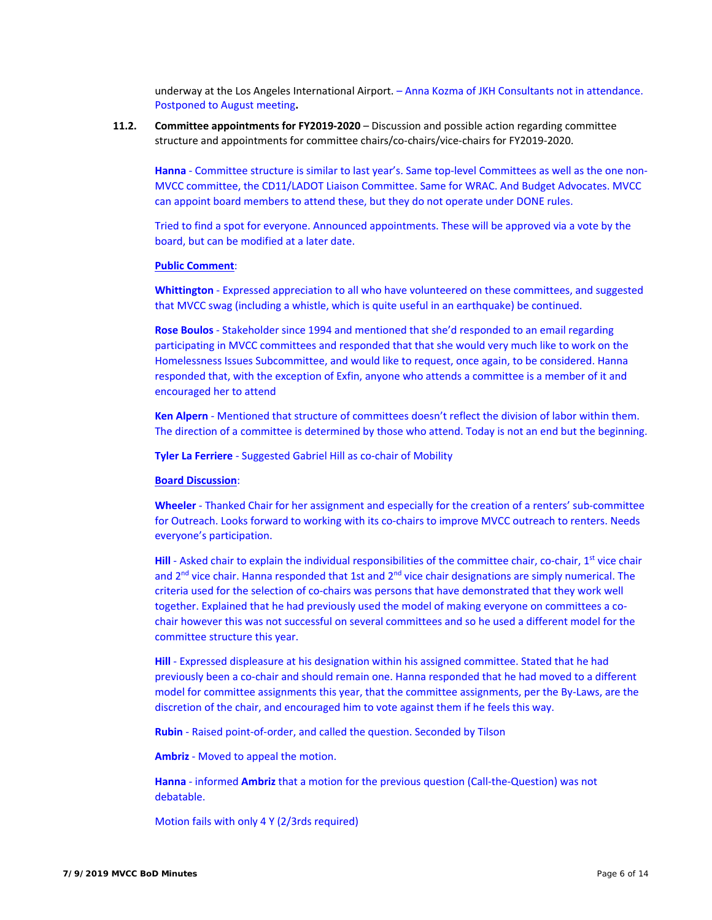underway at the Los Angeles International Airport. – Anna Kozma of JKH Consultants not in attendance. Postponed to August meeting**.** 

**11.2. Committee appointments for FY2019‐2020** – Discussion and possible action regarding committee structure and appointments for committee chairs/co‐chairs/vice‐chairs for FY2019‐2020.

Hanna - Committee structure is similar to last year's. Same top-level Committees as well as the one non-MVCC committee, the CD11/LADOT Liaison Committee. Same for WRAC. And Budget Advocates. MVCC can appoint board members to attend these, but they do not operate under DONE rules.

Tried to find a spot for everyone. Announced appointments. These will be approved via a vote by the board, but can be modified at a later date.

#### **Public Comment**:

**Whittington** ‐ Expressed appreciation to all who have volunteered on these committees, and suggested that MVCC swag (including a whistle, which is quite useful in an earthquake) be continued.

**Rose Boulos** ‐ Stakeholder since 1994 and mentioned that she'd responded to an email regarding participating in MVCC committees and responded that that she would very much like to work on the Homelessness Issues Subcommittee, and would like to request, once again, to be considered. Hanna responded that, with the exception of Exfin, anyone who attends a committee is a member of it and encouraged her to attend

**Ken Alpern** ‐ Mentioned that structure of committees doesn't reflect the division of labor within them. The direction of a committee is determined by those who attend. Today is not an end but the beginning.

**Tyler La Ferriere** ‐ Suggested Gabriel Hill as co‐chair of Mobility

#### **Board Discussion**:

**Wheeler** ‐ Thanked Chair for her assignment and especially for the creation of a renters' sub‐committee for Outreach. Looks forward to working with its co-chairs to improve MVCC outreach to renters. Needs everyone's participation.

**Hill** - Asked chair to explain the individual responsibilities of the committee chair, co-chair, 1<sup>st</sup> vice chair and  $2<sup>nd</sup>$  vice chair. Hanna responded that 1st and  $2<sup>nd</sup>$  vice chair designations are simply numerical. The criteria used for the selection of co-chairs was persons that have demonstrated that they work well together. Explained that he had previously used the model of making everyone on committees a cochair however this was not successful on several committees and so he used a different model for the committee structure this year.

**Hill** - Expressed displeasure at his designation within his assigned committee. Stated that he had previously been a co-chair and should remain one. Hanna responded that he had moved to a different model for committee assignments this year, that the committee assignments, per the By-Laws, are the discretion of the chair, and encouraged him to vote against them if he feels this way.

**Rubin** ‐ Raised point‐of‐order, and called the question. Seconded by Tilson

**Ambriz** ‐ Moved to appeal the motion.

**Hanna** - informed **Ambriz** that a motion for the previous question (Call-the-Question) was not debatable.

Motion fails with only 4 Y (2/3rds required)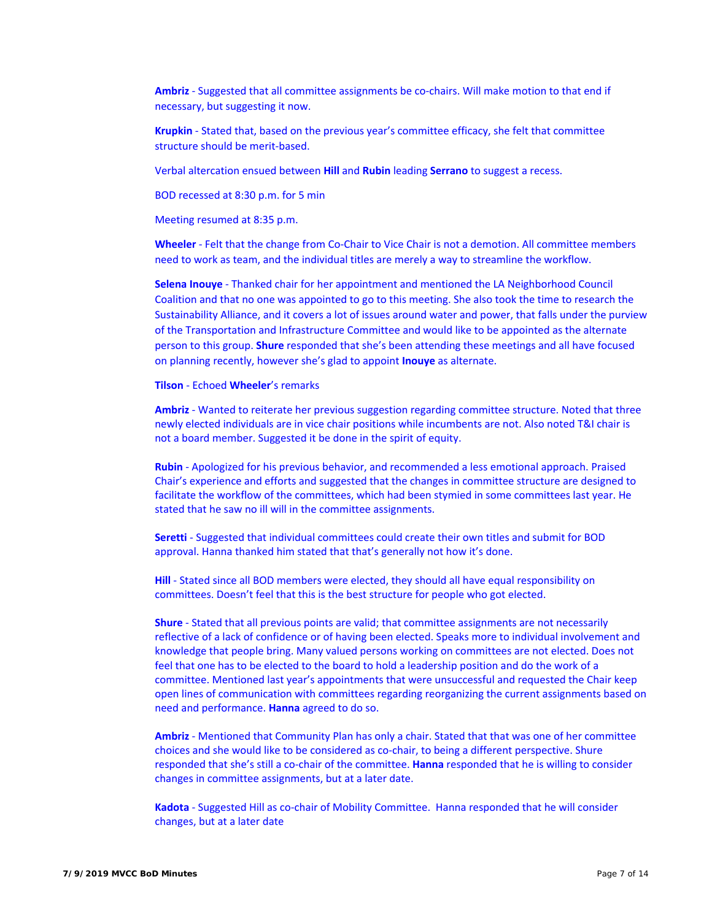Ambriz - Suggested that all committee assignments be co-chairs. Will make motion to that end if necessary, but suggesting it now.

**Krupkin** ‐ Stated that, based on the previous year's committee efficacy, she felt that committee structure should be merit‐based.

Verbal altercation ensued between **Hill** and **Rubin** leading **Serrano** to suggest a recess.

BOD recessed at 8:30 p.m. for 5 min

Meeting resumed at 8:35 p.m.

**Wheeler** ‐ Felt that the change from Co‐Chair to Vice Chair is not a demotion. All committee members need to work as team, and the individual titles are merely a way to streamline the workflow.

**Selena Inouye** ‐ Thanked chair for her appointment and mentioned the LA Neighborhood Council Coalition and that no one was appointed to go to this meeting. She also took the time to research the Sustainability Alliance, and it covers a lot of issues around water and power, that falls under the purview of the Transportation and Infrastructure Committee and would like to be appointed as the alternate person to this group. **Shure** responded that she's been attending these meetings and all have focused on planning recently, however she's glad to appoint **Inouye** as alternate.

#### **Tilson** ‐ Echoed **Wheeler**'s remarks

**Ambriz** ‐ Wanted to reiterate her previous suggestion regarding committee structure. Noted that three newly elected individuals are in vice chair positions while incumbents are not. Also noted T&I chair is not a board member. Suggested it be done in the spirit of equity.

**Rubin** ‐ Apologized for his previous behavior, and recommended a less emotional approach. Praised Chair's experience and efforts and suggested that the changes in committee structure are designed to facilitate the workflow of the committees, which had been stymied in some committees last year. He stated that he saw no ill will in the committee assignments.

**Seretti** - Suggested that individual committees could create their own titles and submit for BOD approval. Hanna thanked him stated that that's generally not how it's done.

Hill - Stated since all BOD members were elected, they should all have equal responsibility on committees. Doesn't feel that this is the best structure for people who got elected.

**Shure** - Stated that all previous points are valid; that committee assignments are not necessarily reflective of a lack of confidence or of having been elected. Speaks more to individual involvement and knowledge that people bring. Many valued persons working on committees are not elected. Does not feel that one has to be elected to the board to hold a leadership position and do the work of a committee. Mentioned last year's appointments that were unsuccessful and requested the Chair keep open lines of communication with committees regarding reorganizing the current assignments based on need and performance. **Hanna** agreed to do so.

**Ambriz** ‐ Mentioned that Community Plan has only a chair. Stated that that was one of her committee choices and she would like to be considered as co‐chair, to being a different perspective. Shure responded that she's still a co‐chair of the committee. **Hanna** responded that he is willing to consider changes in committee assignments, but at a later date.

Kadota - Suggested Hill as co-chair of Mobility Committee. Hanna responded that he will consider changes, but at a later date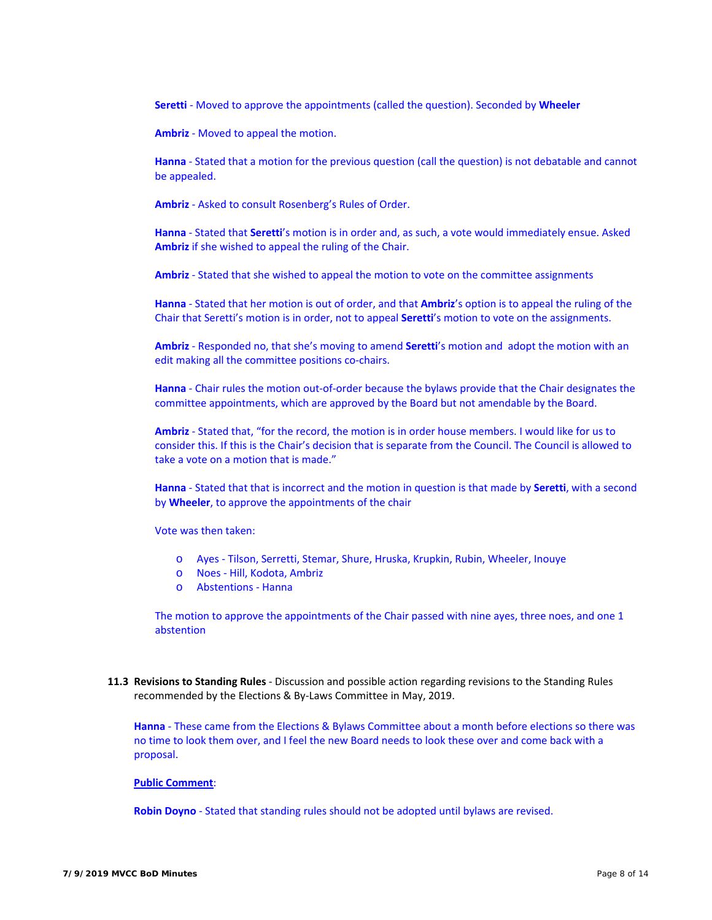**Seretti** ‐ Moved to approve the appointments (called the question). Seconded by **Wheeler**

**Ambriz** ‐ Moved to appeal the motion.

**Hanna** - Stated that a motion for the previous question (call the question) is not debatable and cannot be appealed.

**Ambriz** ‐ Asked to consult Rosenberg's Rules of Order.

**Hanna** ‐ Stated that **Seretti**'s motion is in order and, as such, a vote would immediately ensue. Asked **Ambriz** if she wished to appeal the ruling of the Chair.

**Ambriz** ‐ Stated that she wished to appeal the motion to vote on the committee assignments

**Hanna** ‐ Stated that her motion is out of order, and that **Ambriz**'s option is to appeal the ruling of the Chair that Seretti's motion is in order, not to appeal **Seretti**'s motion to vote on the assignments.

**Ambriz** ‐ Responded no, that she's moving to amend **Seretti**'s motion and adopt the motion with an edit making all the committee positions co-chairs.

**Hanna** - Chair rules the motion out-of-order because the bylaws provide that the Chair designates the committee appointments, which are approved by the Board but not amendable by the Board.

**Ambriz** ‐ Stated that, "for the record, the motion is in order house members. I would like for us to consider this. If this is the Chair's decision that is separate from the Council. The Council is allowed to take a vote on a motion that is made."

**Hanna** ‐ Stated that that is incorrect and the motion in question is that made by **Seretti**, with a second by **Wheeler**, to approve the appointments of the chair

Vote was then taken:

- o Ayes ‐ Tilson, Serretti, Stemar, Shure, Hruska, Krupkin, Rubin, Wheeler, Inouye
- o Noes ‐ Hill, Kodota, Ambriz
- o Abstentions ‐ Hanna

The motion to approve the appointments of the Chair passed with nine ayes, three noes, and one 1 abstention

**11.3 Revisions to Standing Rules** ‐ Discussion and possible action regarding revisions to the Standing Rules recommended by the Elections & By‐Laws Committee in May, 2019.

**Hanna** - These came from the Elections & Bylaws Committee about a month before elections so there was no time to look them over, and I feel the new Board needs to look these over and come back with a proposal.

#### **Public Comment**:

**Robin Doyno** ‐ Stated that standing rules should not be adopted until bylaws are revised.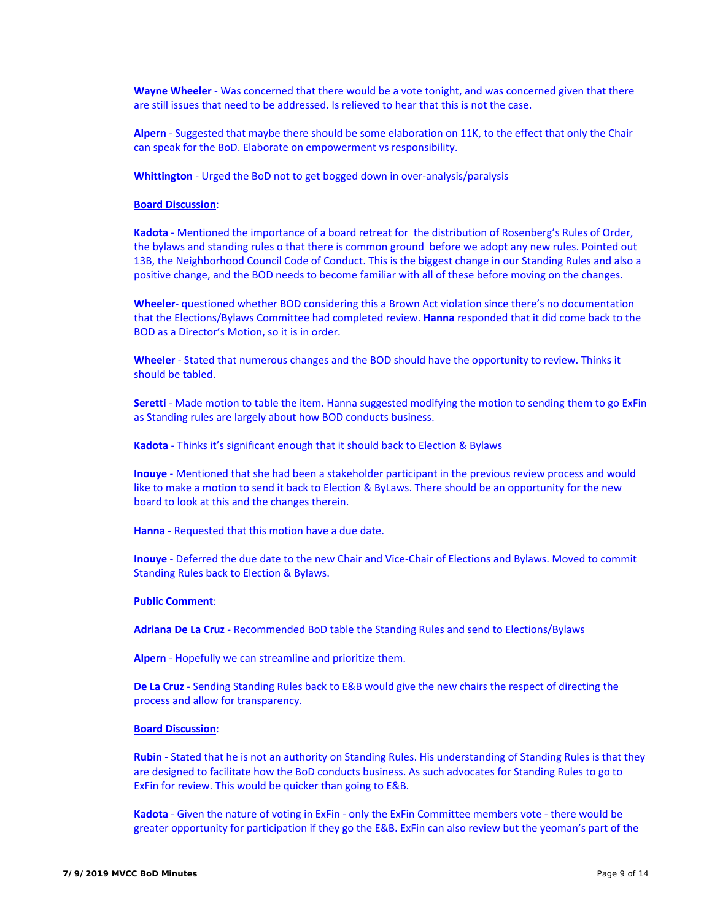Wayne Wheeler - Was concerned that there would be a vote tonight, and was concerned given that there are still issues that need to be addressed. Is relieved to hear that this is not the case.

Alpern - Suggested that maybe there should be some elaboration on 11K, to the effect that only the Chair can speak for the BoD. Elaborate on empowerment vs responsibility.

Whittington - Urged the BoD not to get bogged down in over-analysis/paralysis

#### **Board Discussion**:

**Kadota** ‐ Mentioned the importance of a board retreat for the distribution of Rosenberg's Rules of Order, the bylaws and standing rules o that there is common ground before we adopt any new rules. Pointed out 13B, the Neighborhood Council Code of Conduct. This is the biggest change in our Standing Rules and also a positive change, and the BOD needs to become familiar with all of these before moving on the changes.

**Wheeler**‐ questioned whether BOD considering this a Brown Act violation since there's no documentation that the Elections/Bylaws Committee had completed review. **Hanna** responded that it did come back to the BOD as a Director's Motion, so it is in order.

**Wheeler** ‐ Stated that numerous changes and the BOD should have the opportunity to review. Thinks it should be tabled.

Seretti - Made motion to table the item. Hanna suggested modifying the motion to sending them to go ExFin as Standing rules are largely about how BOD conducts business.

**Kadota** ‐ Thinks it's significant enough that it should back to Election & Bylaws

**Inouye** ‐ Mentioned that she had been a stakeholder participant in the previous review process and would like to make a motion to send it back to Election & ByLaws. There should be an opportunity for the new board to look at this and the changes therein.

**Hanna** ‐ Requested that this motion have a due date.

**Inouye** - Deferred the due date to the new Chair and Vice-Chair of Elections and Bylaws. Moved to commit Standing Rules back to Election & Bylaws.

#### **Public Comment**:

**Adriana De La Cruz** ‐ Recommended BoD table the Standing Rules and send to Elections/Bylaws

**Alpern** ‐ Hopefully we can streamline and prioritize them.

**De La Cruz** ‐ Sending Standing Rules back to E&B would give the new chairs the respect of directing the process and allow for transparency.

#### **Board Discussion**:

**Rubin** ‐ Stated that he is not an authority on Standing Rules. His understanding of Standing Rules is that they are designed to facilitate how the BoD conducts business. As such advocates for Standing Rules to go to ExFin for review. This would be quicker than going to E&B.

Kadota - Given the nature of voting in ExFin - only the ExFin Committee members vote - there would be greater opportunity for participation if they go the E&B. ExFin can also review but the yeoman's part of the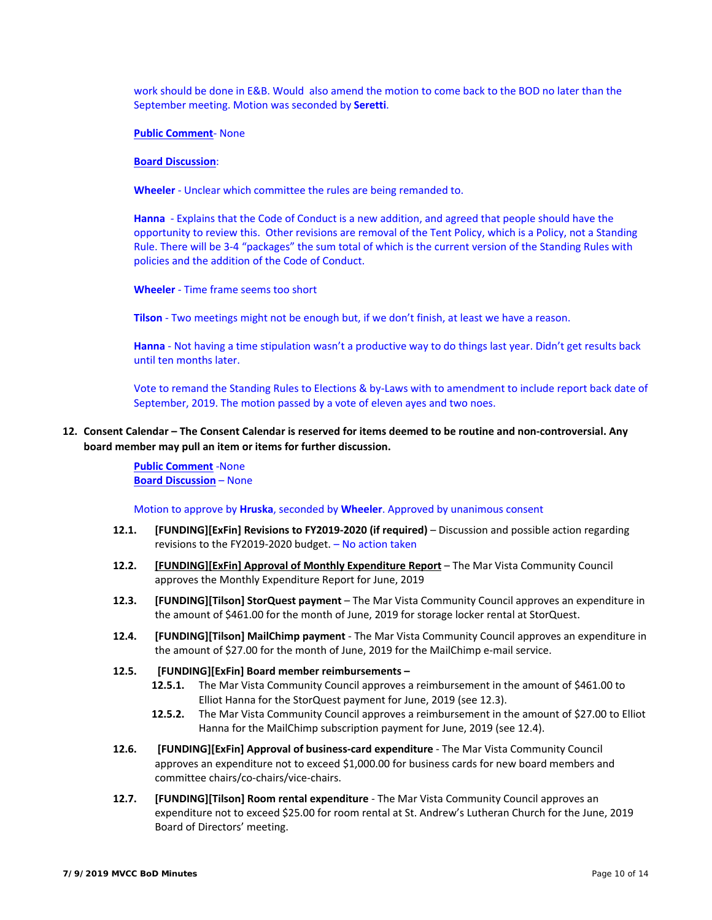work should be done in E&B. Would also amend the motion to come back to the BOD no later than the September meeting. Motion was seconded by **Seretti**.

**Public Comment**‐ None

#### **Board Discussion**:

**Wheeler** ‐ Unclear which committee the rules are being remanded to.

**Hanna** - Explains that the Code of Conduct is a new addition, and agreed that people should have the opportunity to review this. Other revisions are removal of the Tent Policy, which is a Policy, not a Standing Rule. There will be 3-4 "packages" the sum total of which is the current version of the Standing Rules with policies and the addition of the Code of Conduct.

**Wheeler** ‐ Time frame seems too short

**Tilson** ‐ Two meetings might not be enough but, if we don't finish, at least we have a reason.

**Hanna** ‐ Not having a time stipulation wasn't a productive way to do things last year. Didn't get results back until ten months later.

Vote to remand the Standing Rules to Elections & by‐Laws with to amendment to include report back date of September, 2019. The motion passed by a vote of eleven ayes and two noes.

**12. Consent Calendar – The Consent Calendar is reserved for items deemed to be routine and non‐controversial. Any board member may pull an item or items for further discussion.** 

> **Public Comment** ‐None **Board Discussion** – None

Motion to approve by **Hruska**, seconded by **Wheeler**. Approved by unanimous consent

- **12.1. [FUNDING][ExFin] Revisions to FY2019‐2020 (if required)**  Discussion and possible action regarding revisions to the FY2019‐2020 budget. – No action taken
- **12.2. [FUNDING][ExFin] Approval of Monthly Expenditure Report**  The Mar Vista Community Council approves the Monthly Expenditure Report for June, 2019
- **12.3. [FUNDING][Tilson] StorQuest payment**  The Mar Vista Community Council approves an expenditure in the amount of \$461.00 for the month of June, 2019 for storage locker rental at StorQuest.
- **12.4. [FUNDING][Tilson] MailChimp payment** ‐ The Mar Vista Community Council approves an expenditure in the amount of \$27.00 for the month of June, 2019 for the MailChimp e-mail service.
- **12.5. [FUNDING][ExFin] Board member reimbursements** 
	- **12.5.1.** The Mar Vista Community Council approves a reimbursement in the amount of \$461.00 to Elliot Hanna for the StorQuest payment for June, 2019 (see 12.3).
	- **12.5.2.** The Mar Vista Community Council approves a reimbursement in the amount of \$27.00 to Elliot Hanna for the MailChimp subscription payment for June, 2019 (see 12.4).
- **12.6. [FUNDING][ExFin] Approval of business‐card expenditure** ‐ The Mar Vista Community Council approves an expenditure not to exceed \$1,000.00 for business cards for new board members and committee chairs/co‐chairs/vice‐chairs.
- **12.7. [FUNDING][Tilson] Room rental expenditure** ‐ The Mar Vista Community Council approves an expenditure not to exceed \$25.00 for room rental at St. Andrew's Lutheran Church for the June, 2019 Board of Directors' meeting.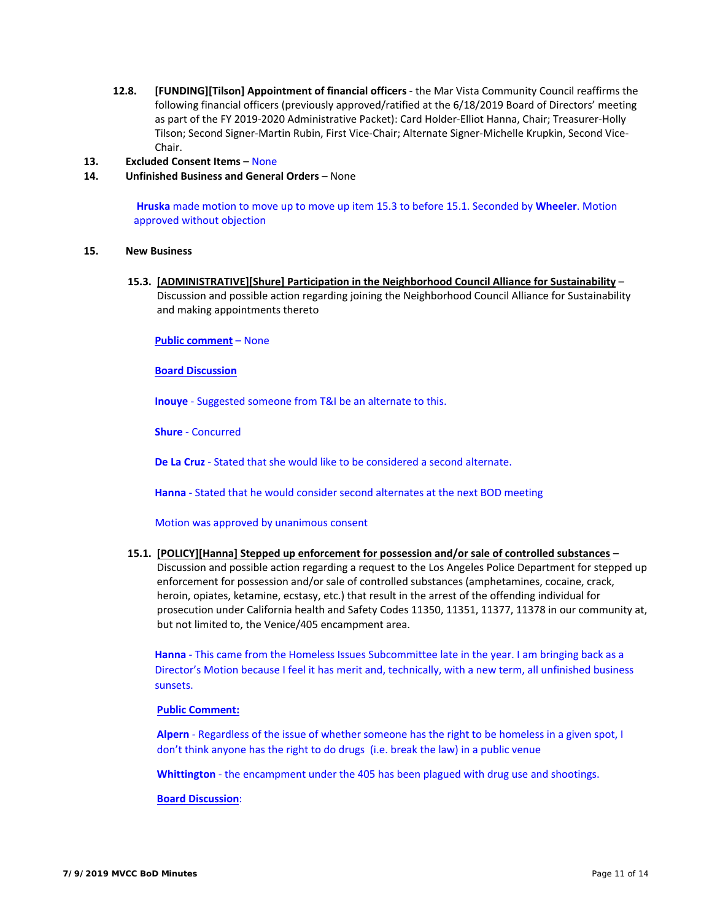**12.8. [FUNDING][Tilson] Appointment of financial officers** ‐ the Mar Vista Community Council reaffirms the following financial officers (previously approved/ratified at the 6/18/2019 Board of Directors' meeting as part of the FY 2019‐2020 Administrative Packet): Card Holder‐Elliot Hanna, Chair; Treasurer‐Holly Tilson; Second Signer‐Martin Rubin, First Vice‐Chair; Alternate Signer‐Michelle Krupkin, Second Vice‐ Chair.

# **13. Excluded Consent Items** – None

**14. Unfinished Business and General Orders** – None

 **Hruska** made motion to move up to move up item 15.3 to before 15.1. Seconded by **Wheeler**. Motion approved without objection

# **15. New Business**

**15.3. [ADMINISTRATIVE][Shure] Participation in the Neighborhood Council Alliance for Sustainability** – Discussion and possible action regarding joining the Neighborhood Council Alliance for Sustainability and making appointments thereto

**Public comment** – None

#### **Board Discussion**

**Inouye** ‐ Suggested someone from T&I be an alternate to this.

**Shure** ‐ Concurred

**De La Cruz** ‐ Stated that she would like to be considered a second alternate.

**Hanna** ‐ Stated that he would consider second alternates at the next BOD meeting

#### Motion was approved by unanimous consent

# **15.1. [POLICY][Hanna] Stepped up enforcement for possession and/or sale of controlled substances** –

Discussion and possible action regarding a request to the Los Angeles Police Department for stepped up enforcement for possession and/or sale of controlled substances (amphetamines, cocaine, crack, heroin, opiates, ketamine, ecstasy, etc.) that result in the arrest of the offending individual for prosecution under California health and Safety Codes 11350, 11351, 11377, 11378 in our community at, but not limited to, the Venice/405 encampment area.

**Hanna** - This came from the Homeless Issues Subcommittee late in the year. I am bringing back as a Director's Motion because I feel it has merit and, technically, with a new term, all unfinished business sunsets.

#### **Public Comment:**

**Alpern** ‐ Regardless of the issue of whether someone has the right to be homeless in a given spot, I don't think anyone has the right to do drugs (i.e. break the law) in a public venue

**Whittington** ‐ the encampment under the 405 has been plagued with drug use and shootings.

#### **Board Discussion**: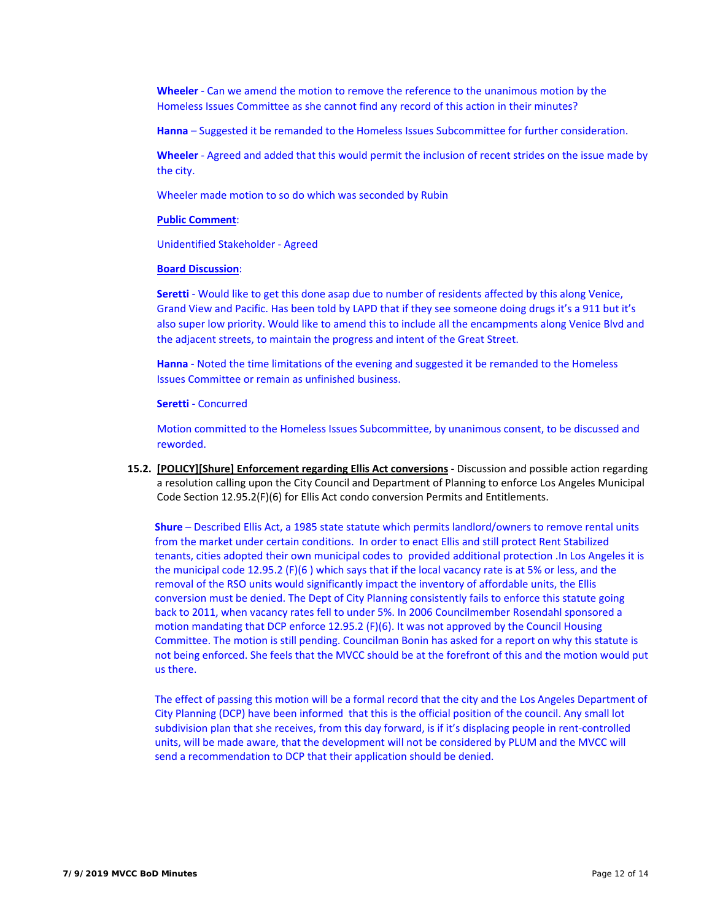**Wheeler** - Can we amend the motion to remove the reference to the unanimous motion by the Homeless Issues Committee as she cannot find any record of this action in their minutes?

**Hanna** – Suggested it be remanded to the Homeless Issues Subcommittee for further consideration.

**Wheeler** ‐ Agreed and added that this would permit the inclusion of recent strides on the issue made by the city.

Wheeler made motion to so do which was seconded by Rubin

#### **Public Comment**:

Unidentified Stakeholder ‐ Agreed

#### **Board Discussion**:

**Seretti** - Would like to get this done asap due to number of residents affected by this along Venice, Grand View and Pacific. Has been told by LAPD that if they see someone doing drugs it's a 911 but it's also super low priority. Would like to amend this to include all the encampments along Venice Blvd and the adjacent streets, to maintain the progress and intent of the Great Street.

**Hanna** - Noted the time limitations of the evening and suggested it be remanded to the Homeless Issues Committee or remain as unfinished business.

# **Seretti** ‐ Concurred

Motion committed to the Homeless Issues Subcommittee, by unanimous consent, to be discussed and reworded.

**15.2. [POLICY][Shure] Enforcement regarding Ellis Act conversions** ‐ Discussion and possible action regarding a resolution calling upon the City Council and Department of Planning to enforce Los Angeles Municipal Code Section 12.95.2(F)(6) for Ellis Act condo conversion Permits and Entitlements.

**Shure** – Described Ellis Act, a 1985 state statute which permits landlord/owners to remove rental units from the market under certain conditions. In order to enact Ellis and still protect Rent Stabilized tenants, cities adopted their own municipal codes to provided additional protection .In Los Angeles it is the municipal code 12.95.2 (F)(6 ) which says that if the local vacancy rate is at 5% or less, and the removal of the RSO units would significantly impact the inventory of affordable units, the Ellis conversion must be denied. The Dept of City Planning consistently fails to enforce this statute going back to 2011, when vacancy rates fell to under 5%. In 2006 Councilmember Rosendahl sponsored a motion mandating that DCP enforce 12.95.2 (F)(6). It was not approved by the Council Housing Committee. The motion is still pending. Councilman Bonin has asked for a report on why this statute is not being enforced. She feels that the MVCC should be at the forefront of this and the motion would put us there.

The effect of passing this motion will be a formal record that the city and the Los Angeles Department of City Planning (DCP) have been informed that this is the official position of the council. Any small lot subdivision plan that she receives, from this day forward, is if it's displacing people in rent-controlled units, will be made aware, that the development will not be considered by PLUM and the MVCC will send a recommendation to DCP that their application should be denied.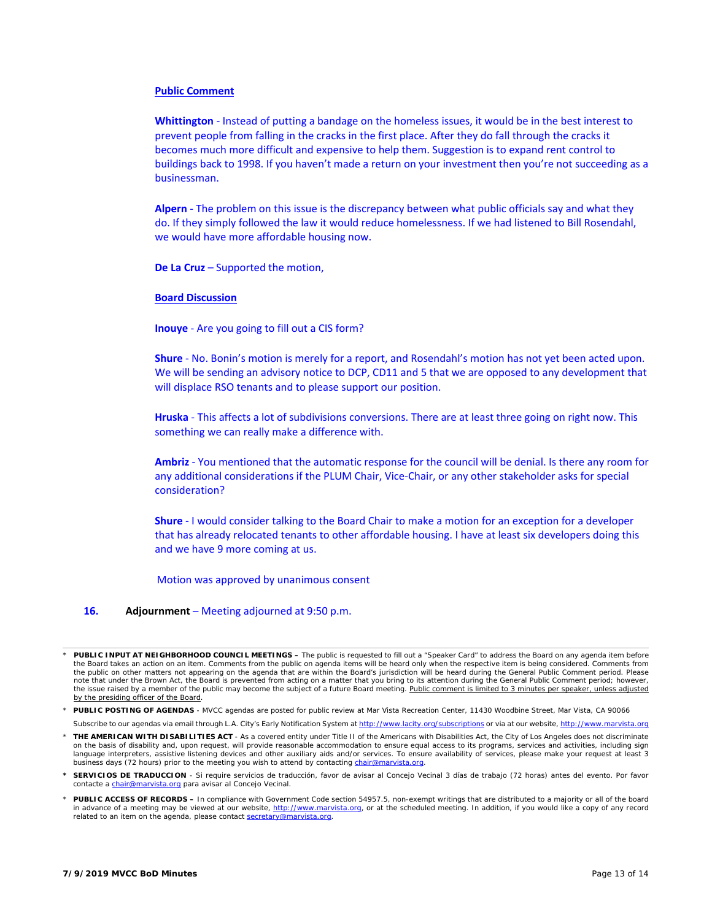#### **Public Comment**

**Whittington** ‐ Instead of putting a bandage on the homeless issues, it would be in the best interest to prevent people from falling in the cracks in the first place. After they do fall through the cracks it becomes much more difficult and expensive to help them. Suggestion is to expand rent control to buildings back to 1998. If you haven't made a return on your investment then you're not succeeding as a businessman.

**Alpern** ‐ The problem on this issue is the discrepancy between what public officials say and what they do. If they simply followed the law it would reduce homelessness. If we had listened to Bill Rosendahl, we would have more affordable housing now.

**De La Cruz** – Supported the motion,

#### **Board Discussion**

**Inouye** ‐ Are you going to fill out a CIS form?

**Shure** ‐ No. Bonin's motion is merely for a report, and Rosendahl's motion has not yet been acted upon. We will be sending an advisory notice to DCP, CD11 and 5 that we are opposed to any development that will displace RSO tenants and to please support our position.

**Hruska** ‐ This affects a lot of subdivisions conversions. There are at least three going on right now. This something we can really make a difference with.

**Ambriz** ‐ You mentioned that the automatic response for the council will be denial. Is there any room for any additional considerations if the PLUM Chair, Vice-Chair, or any other stakeholder asks for special consideration?

**Shure** - I would consider talking to the Board Chair to make a motion for an exception for a developer that has already relocated tenants to other affordable housing. I have at least six developers doing this and we have 9 more coming at us.

Motion was approved by unanimous consent

#### **16. Adjournment** – Meeting adjourned at 9:50 p.m.

- *\* PUBLIC POSTING OF AGENDAS MVCC agendas are posted for public review at Mar Vista Recreation Center, 11430 Woodbine Street, Mar Vista, CA 90066*
- Subscribe to our agendas via email through L.A. City's Early Notification System at http://www.lacity.org/subscriptions or via at our website, http. *\* THE AMERICAN WITH DISABILITIES ACT - As a covered entity under Title II of the Americans with Disabilities Act, the City of Los Angeles does not discriminate*  on the basis of disability and, upon request, will provide reasonable accommodation to ensure equal access to its programs, services and activities, including sign *language interpreters, assistive listening devices and other auxiliary aids and/or services. To ensure availability of services, please make your request at least 3 business days (72 hours) prior to the meeting you wish to attend by contacting chair@marvista.org.*
- *\* SERVICIOS DE TRADUCCION Si require servicios de traducción, favor de avisar al Concejo Vecinal 3 días de trabajo (72 horas) antes del evento. Por favor contacte a chair@marvista.org para avisar al Concejo Vecinal.*
- *\* PUBLIC ACCESS OF RECORDS In compliance with Government Code section 54957.5, non-exempt writings that are distributed to a majority or all of the board*  in advance of a meeting may be viewed at our website, http://www.marvista.org, or at the scheduled meeting. In addition, if you would like a copy of any record *related to an item on the agenda, please contact secretary@marvista.org.*

*<sup>\*</sup> PUBLIC INPUT AT NEIGHBORHOOD COUNCIL MEETINGS – The public is requested to fill out a "Speaker Card" to address the Board on any agenda item before*  the Board takes an action on an item. Comments from the public on agenda items will be heard only when the respective item is being considered. Comments from<br>the public on other matters not appearing on the agenda that are *note that under the Brown Act, the Board is prevented from acting on a matter that you bring to its attention during the General Public Comment period; however,*  the issue raised by a member of the public may become the subject of a future Board meeting. Public comment is limited to 3 minutes per speaker, unless adjusted *by the presiding officer of the Board.*